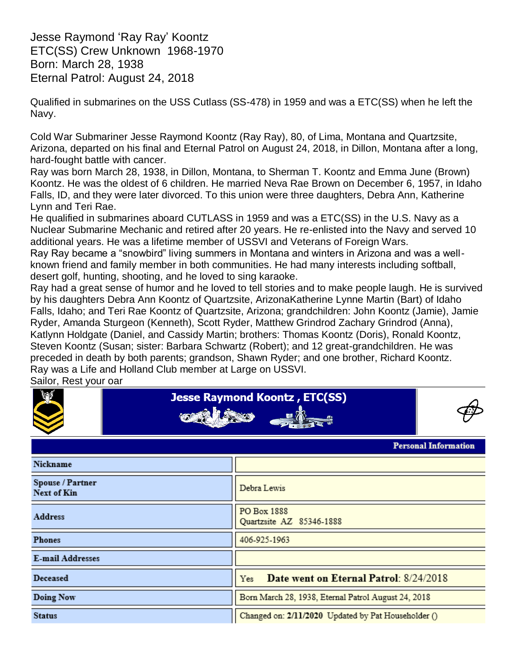Jesse Raymond "Ray Ray" Koontz ETC(SS) Crew Unknown 1968-1970 Born: March 28, 1938 Eternal Patrol: August 24, 2018

Qualified in submarines on the USS Cutlass (SS-478) in 1959 and was a ETC(SS) when he left the Navy.

Cold War Submariner Jesse Raymond Koontz (Ray Ray), 80, of Lima, Montana and Quartzsite, Arizona, departed on his final and Eternal Patrol on August 24, 2018, in Dillon, Montana after a long, hard-fought battle with cancer.

Ray was born March 28, 1938, in Dillon, Montana, to Sherman T. Koontz and Emma June (Brown) Koontz. He was the oldest of 6 children. He married Neva Rae Brown on December 6, 1957, in Idaho Falls, ID, and they were later divorced. To this union were three daughters, Debra Ann, Katherine Lynn and Teri Rae.

He qualified in submarines aboard CUTLASS in 1959 and was a ETC(SS) in the U.S. Navy as a Nuclear Submarine Mechanic and retired after 20 years. He re-enlisted into the Navy and served 10 additional years. He was a lifetime member of USSVI and Veterans of Foreign Wars.

Ray Ray became a "snowbird" living summers in Montana and winters in Arizona and was a wellknown friend and family member in both communities. He had many interests including softball, desert golf, hunting, shooting, and he loved to sing karaoke.

Ray had a great sense of humor and he loved to tell stories and to make people laugh. He is survived by his daughters Debra Ann Koontz of Quartzsite, ArizonaKatherine Lynne Martin (Bart) of Idaho Falls, Idaho; and Teri Rae Koontz of Quartzsite, Arizona; grandchildren: John Koontz (Jamie), Jamie Ryder, Amanda Sturgeon (Kenneth), Scott Ryder, Matthew Grindrod Zachary Grindrod (Anna), Katlynn Holdgate (Daniel, and Cassidy Martin; brothers: Thomas Koontz (Doris), Ronald Koontz, Steven Koontz (Susan; sister: Barbara Schwartz (Robert); and 12 great-grandchildren. He was preceded in death by both parents; grandson, Shawn Ryder; and one brother, Richard Koontz. Ray was a Life and Holland Club member at Large on USSVI.

Sailor, Rest your oar

| Sailor, Rest your oar                |                                                     |  |  |  |  |  |
|--------------------------------------|-----------------------------------------------------|--|--|--|--|--|
| <b>AND</b><br><b>COMPLETE STREET</b> | <b>Jesse Raymond Koontz, ETC(SS)</b>                |  |  |  |  |  |
| <b>Personal Information</b>          |                                                     |  |  |  |  |  |
| Nickname                             |                                                     |  |  |  |  |  |
| Spouse / Partner<br>Next of Kin      | Debra Lewis                                         |  |  |  |  |  |
| <b>Address</b>                       | PO Box 1888<br>Quartzsite AZ 85346-1888             |  |  |  |  |  |
| <b>Phones</b>                        | 406-925-1963                                        |  |  |  |  |  |
| <b>E-mail Addresses</b>              |                                                     |  |  |  |  |  |
| Deceased                             | Date went on Eternal Patrol: 8/24/2018<br>Yes       |  |  |  |  |  |
| Doing Now                            | Born March 28, 1938, Eternal Patrol August 24, 2018 |  |  |  |  |  |
| <b>Status</b>                        | Changed on: 2/11/2020 Updated by Pat Householder () |  |  |  |  |  |